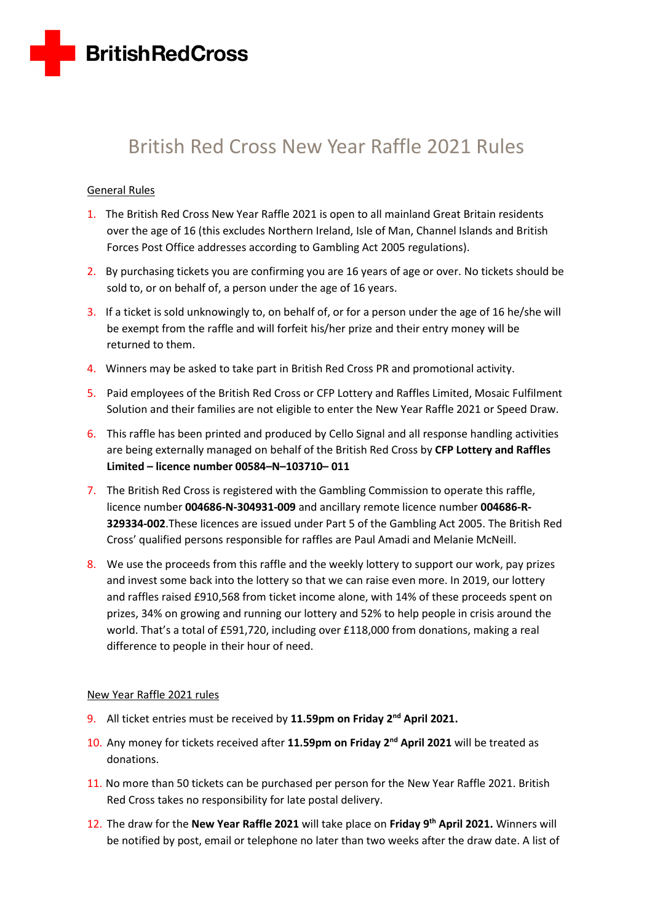

# British Red Cross New Year Raffle 2021 Rules

# General Rules

- 1. The British Red Cross New Year Raffle 2021 is open to all mainland Great Britain residents over the age of 16 (this excludes Northern Ireland, Isle of Man, Channel Islands and British Forces Post Office addresses according to Gambling Act 2005 regulations).
- 2. By purchasing tickets you are confirming you are 16 years of age or over. No tickets should be sold to, or on behalf of, a person under the age of 16 years.
- 3. If a ticket is sold unknowingly to, on behalf of, or for a person under the age of 16 he/she will be exempt from the raffle and will forfeit his/her prize and their entry money will be returned to them.
- 4. Winners may be asked to take part in British Red Cross PR and promotional activity.
- 5. Paid employees of the British Red Cross or CFP Lottery and Raffles Limited, Mosaic Fulfilment Solution and their families are not eligible to enter the New Year Raffle 2021 or Speed Draw.
- 6. This raffle has been printed and produced by Cello Signal and all response handling activities are being externally managed on behalf of the British Red Cross by **CFP Lottery and Raffles Limited – licence number 00584–N–103710– 011**
- 7. The British Red Cross is registered with the Gambling Commission to operate this raffle, licence number **004686-N-304931-009** and ancillary remote licence number **004686-R-329334-002**.These licences are issued under Part 5 of the Gambling Act 2005. The British Red Cross' qualified persons responsible for raffles are Paul Amadi and Melanie McNeill.
- 8. We use the proceeds from this raffle and the weekly lottery to support our work, pay prizes and invest some back into the lottery so that we can raise even more. In 2019, our lottery and raffles raised £910,568 from ticket income alone, with 14% of these proceeds spent on prizes, 34% on growing and running our lottery and 52% to help people in crisis around the world. That's a total of £591,720, including over £118,000 from donations, making a real difference to people in their hour of need.

### New Year Raffle 2021 rules

- 9. All ticket entries must be received by **11.59pm on Friday 2 nd April 2021.**
- 10. Any money for tickets received after 11.59pm on Friday 2<sup>nd</sup> April 2021 will be treated as donations.
- 11. No more than 50 tickets can be purchased per person for the New Year Raffle 2021. British Red Cross takes no responsibility for late postal delivery.
- 12. The draw for the **New Year Raffle 2021** will take place on **Friday 9 th April 2021.** Winners will be notified by post, email or telephone no later than two weeks after the draw date. A list of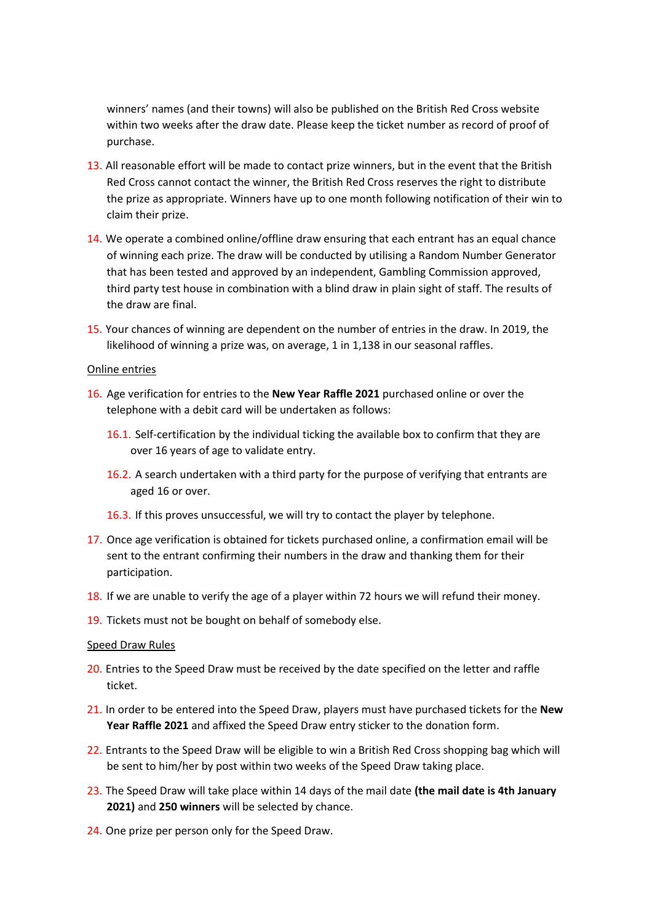winners' names (and their towns) will also be published on the British Red Cross website within two weeks after the draw date. Please keep the ticket number as record of proof of purchase.

- 13. All reasonable effort will be made to contact prize winners, but in the event that the British Red Cross cannot contact the winner, the British Red Cross reserves the right to distribute the prize as appropriate. Winners have up to one month following notification of their win to claim their prize.
- 14. We operate a combined online/offline draw ensuring that each entrant has an equal chance of winning each prize. The draw will be conducted by utilising a Random Number Generator that has been tested and approved by an independent, Gambling Commission approved, third party test house in combination with a blind draw in plain sight of staff. The results of the draw are final.
- 15. Your chances of winning are dependent on the number of entries in the draw. In 2019, the likelihood of winning a prize was, on average, 1 in 1,138 in our seasonal raffles.

#### Online entries

- 16. Age verification for entries to the **New Year Raffle 2021** purchased online or over the telephone with a debit card will be undertaken as follows:
	- 16.1. Self-certification by the individual ticking the available box to confirm that they are over 16 years of age to validate entry.
	- 16.2. A search undertaken with a third party for the purpose of verifying that entrants are aged 16 or over.
	- 16.3. If this proves unsuccessful, we will try to contact the player by telephone.
- 17. Once age verification is obtained for tickets purchased online, a confirmation email will be sent to the entrant confirming their numbers in the draw and thanking them for their participation.
- 18. If we are unable to verify the age of a player within 72 hours we will refund their money.
- 19. Tickets must not be bought on behalf of somebody else.

#### Speed Draw Rules

- 20. Entries to the Speed Draw must be received by the date specified on the letter and raffle ticket.
- 21. In order to be entered into the Speed Draw, players must have purchased tickets for the **New Year Raffle 2021** and affixed the Speed Draw entry sticker to the donation form.
- 22. Entrants to the Speed Draw will be eligible to win a British Red Cross shopping bag which will be sent to him/her by post within two weeks of the Speed Draw taking place.
- 23. The Speed Draw will take place within 14 days of the mail date **(the mail date is 4th January 2021)** and **250 winners** will be selected by chance.
- 24. One prize per person only for the Speed Draw.